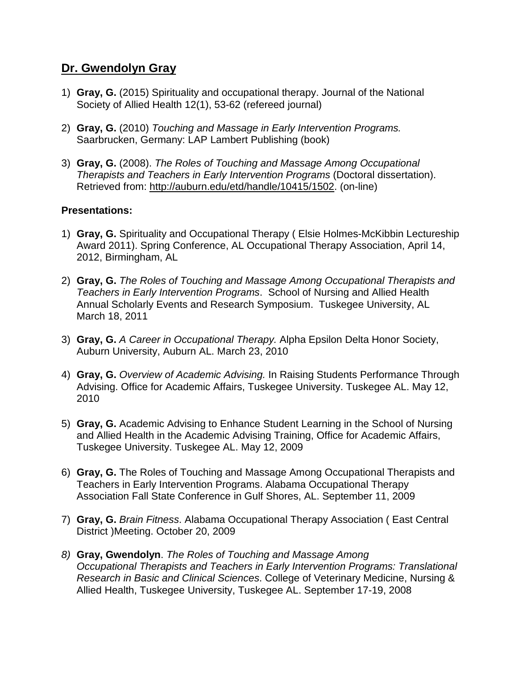## **Dr. Gwendolyn Gray**

- 1) **Gray, G.** (2015) Spirituality and occupational therapy. Journal of the National Society of Allied Health 12(1), 53-62 (refereed journal)
- 2) **Gray, G.** (2010) *Touching and Massage in Early Intervention Programs.*  Saarbrucken, Germany: LAP Lambert Publishing (book)
- 3) **Gray, G.** (2008). *The Roles of Touching and Massage Among Occupational Therapists and Teachers in Early Intervention Programs* (Doctoral dissertation). Retrieved from: [http://auburn.edu/etd/handle/10415/1502.](http://auburn.edu/etd/handle/10415/1502) (on-line)

## **Presentations:**

- 1) **Gray, G.** Spirituality and Occupational Therapy ( Elsie Holmes-McKibbin Lectureship Award 2011). Spring Conference, AL Occupational Therapy Association, April 14, 2012, Birmingham, AL
- 2) **Gray, G.** *The Roles of Touching and Massage Among Occupational Therapists and Teachers in Early Intervention Programs*. School of Nursing and Allied Health Annual Scholarly Events and Research Symposium. Tuskegee University, AL March 18, 2011
- 3) **Gray, G.** *A Career in Occupational Therapy.* Alpha Epsilon Delta Honor Society, Auburn University, Auburn AL. March 23, 2010
- 4) **Gray, G.** *Overview of Academic Advising.* In Raising Students Performance Through Advising. Office for Academic Affairs, Tuskegee University. Tuskegee AL. May 12, 2010
- 5) **Gray, G.** Academic Advising to Enhance Student Learning in the School of Nursing and Allied Health in the Academic Advising Training, Office for Academic Affairs, Tuskegee University. Tuskegee AL. May 12, 2009
- 6) **Gray, G.** The Roles of Touching and Massage Among Occupational Therapists and Teachers in Early Intervention Programs. Alabama Occupational Therapy Association Fall State Conference in Gulf Shores, AL. September 11, 2009
- 7) **Gray, G.** *Brain Fitness*. Alabama Occupational Therapy Association ( East Central District )Meeting. October 20, 2009
- *8)* **Gray, Gwendolyn**. *The Roles of Touching and Massage Among Occupational Therapists and Teachers in Early Intervention Programs: Translational Research in Basic and Clinical Sciences*. College of Veterinary Medicine, Nursing & Allied Health, Tuskegee University, Tuskegee AL. September 17-19, 2008